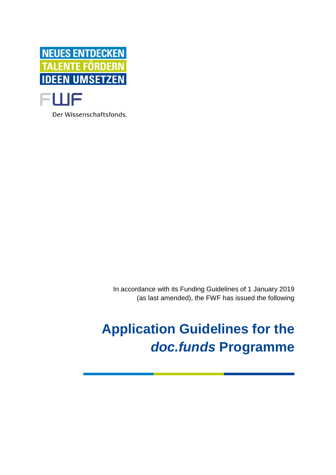

Der Wissenschaftsfonds.

In accordance with its Funding Guidelines of 1 January 2019 (as last amended), the FWF has issued the following

# **Application Guidelines for the**  *doc.funds* **Programme**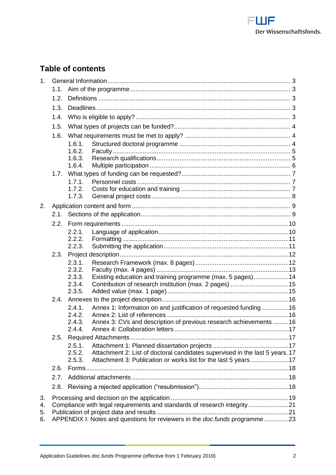

# **Table of contents**

| 1 <sub>1</sub> |      |                                                                            |                                                                             |  |  |
|----------------|------|----------------------------------------------------------------------------|-----------------------------------------------------------------------------|--|--|
|                | 1.1. |                                                                            |                                                                             |  |  |
|                | 1.2. |                                                                            |                                                                             |  |  |
|                | 1.3. |                                                                            |                                                                             |  |  |
|                | 1.4. |                                                                            |                                                                             |  |  |
|                | 1.5. |                                                                            |                                                                             |  |  |
|                | 1.6. |                                                                            |                                                                             |  |  |
|                |      | 1.6.1.                                                                     |                                                                             |  |  |
|                |      | 1.6.2.                                                                     |                                                                             |  |  |
|                |      | 1.6.3.                                                                     |                                                                             |  |  |
|                |      | 1.6.4.                                                                     |                                                                             |  |  |
|                | 1.7. | 1.7.1.                                                                     |                                                                             |  |  |
|                |      | 1.7.2.                                                                     |                                                                             |  |  |
|                |      | 1.7.3.                                                                     |                                                                             |  |  |
| 2.             |      |                                                                            |                                                                             |  |  |
|                | 2.1. |                                                                            |                                                                             |  |  |
|                | 2.2. |                                                                            |                                                                             |  |  |
|                |      | 2.2.1.                                                                     |                                                                             |  |  |
|                |      | 2.2.2.                                                                     |                                                                             |  |  |
|                |      | 2.2.3.                                                                     |                                                                             |  |  |
|                | 2.3. |                                                                            |                                                                             |  |  |
|                |      | 2.3.1.<br>2.3.2.                                                           |                                                                             |  |  |
|                |      | 2.3.3.                                                                     | Existing education and training programme (max. 5 pages)14                  |  |  |
|                |      | 2.3.4.                                                                     |                                                                             |  |  |
|                |      | 2.3.5.                                                                     |                                                                             |  |  |
|                | 2.4. |                                                                            |                                                                             |  |  |
|                |      | 2.4.1.                                                                     | Annex 1: Information on and justification of requested funding 16           |  |  |
|                |      | 2.4.2.                                                                     |                                                                             |  |  |
|                |      | 2.4.3.<br>2.4.4.                                                           | Annex 3: CVs and description of previous research achievements16            |  |  |
|                | 2.5. |                                                                            |                                                                             |  |  |
|                |      | 2.5.1.                                                                     |                                                                             |  |  |
|                |      | 2.5.2.                                                                     | Attachment 2: List of doctoral candidates supervised in the last 5 years.17 |  |  |
|                |      | 2.5.3.                                                                     | Attachment 3: Publication or works list for the last 5 years17              |  |  |
|                | 2.6. |                                                                            |                                                                             |  |  |
|                | 2.7. |                                                                            |                                                                             |  |  |
|                | 2.8. |                                                                            |                                                                             |  |  |
| 3.             |      |                                                                            |                                                                             |  |  |
| 4.             |      | Compliance with legal requirements and standards of research integrity21   |                                                                             |  |  |
| 5.<br>6.       |      | APPENDIX I: Notes and questions for reviewers in the doc.funds programme23 |                                                                             |  |  |
|                |      |                                                                            |                                                                             |  |  |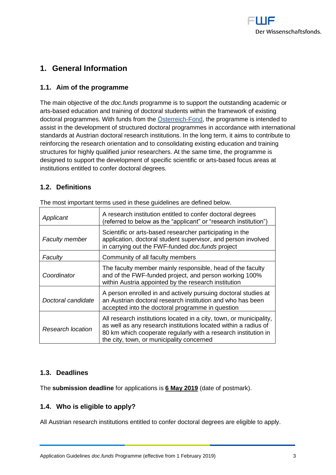

# <span id="page-2-1"></span><span id="page-2-0"></span>**1. General Information**

# **1.1. Aim of the programme**

The main objective of the *doc.funds* programme is to support the outstanding academic or arts-based education and training of doctoral students within the framework of existing doctoral programmes. With funds from the [Österreich-Fond,](http://www.oesterreich-fonds.at/) the programme is intended to assist in the development of structured doctoral programmes in accordance with international standards at Austrian doctoral research institutions. In the long term, it aims to contribute to reinforcing the research orientation and to consolidating existing education and training structures for highly qualified junior researchers. At the same time, the programme is designed to support the development of specific scientific or arts-based focus areas at institutions entitled to confer doctoral degrees.

# <span id="page-2-2"></span>**1.2. Definitions**

| Applicant                | A research institution entitled to confer doctoral degrees<br>(referred to below as the "applicant" or "research institution")                                                                                                                        |
|--------------------------|-------------------------------------------------------------------------------------------------------------------------------------------------------------------------------------------------------------------------------------------------------|
| <b>Faculty member</b>    | Scientific or arts-based researcher participating in the<br>application, doctoral student supervisor, and person involved<br>in carrying out the FWF-funded doc.funds project                                                                         |
| Faculty                  | Community of all faculty members                                                                                                                                                                                                                      |
| Coordinator              | The faculty member mainly responsible, head of the faculty<br>and of the FWF-funded project, and person working 100%<br>within Austria appointed by the research institution                                                                          |
| Doctoral candidate       | A person enrolled in and actively pursuing doctoral studies at<br>an Austrian doctoral research institution and who has been<br>accepted into the doctoral programme in question                                                                      |
| <b>Research location</b> | All research institutions located in a city, town, or municipality,<br>as well as any research institutions located within a radius of<br>80 km which cooperate regularly with a research institution in<br>the city, town, or municipality concerned |

The most important terms used in these guidelines are defined below.

# <span id="page-2-3"></span>**1.3. Deadlines**

<span id="page-2-4"></span>The **submission deadline** for applications is **6 May 2019** (date of postmark).

# **1.4. Who is eligible to apply?**

All Austrian research institutions entitled to confer doctoral degrees are eligible to apply.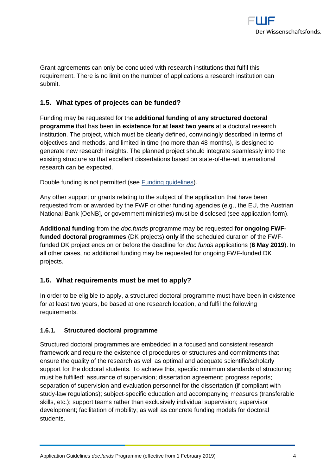

Grant agreements can only be concluded with research institutions that fulfil this requirement. There is no limit on the number of applications a research institution can submit.

# <span id="page-3-0"></span>**1.5. What types of projects can be funded?**

Funding may be requested for the **additional funding of any structured doctoral programme** that has been **in existence for at least two years** at a doctoral research institution. The project, which must be clearly defined, convincingly described in terms of objectives and methods, and limited in time (no more than 48 months), is designed to generate new research insights. The planned project should integrate seamlessly into the existing structure so that excellent dissertations based on state-of-the-art international research can be expected.

Double funding is not permitted (see [Funding guidelines\)](https://www.fwf.ac.at/en/research-funding/decision-making-procedure/funding-guidelines/).

Any other support or grants relating to the subject of the application that have been requested from or awarded by the FWF or other funding agencies (e.g., the EU, the Austrian National Bank [OeNB], or government ministries) must be disclosed (see application form).

**Additional funding** from the *doc.funds* programme may be requested **for ongoing FWFfunded doctoral programmes** (DK projects) **only if** the scheduled duration of the FWFfunded DK project ends on or before the deadline for *doc.funds* applications (**6 May 2019**). In all other cases, no additional funding may be requested for ongoing FWF-funded DK projects.

# <span id="page-3-1"></span>**1.6. What requirements must be met to apply?**

In order to be eligible to apply, a structured doctoral programme must have been in existence for at least two years, be based at one research location, and fulfil the following requirements.

#### <span id="page-3-2"></span>**1.6.1. Structured doctoral programme**

Structured doctoral programmes are embedded in a focused and consistent research framework and require the existence of procedures or structures and commitments that ensure the quality of the research as well as optimal and adequate scientific/scholarly support for the doctoral students. To achieve this, specific minimum standards of structuring must be fulfilled: assurance of supervision; dissertation agreement; progress reports; separation of supervision and evaluation personnel for the dissertation (if compliant with study-law regulations); subject-specific education and accompanying measures (transferable skills, etc.); support teams rather than exclusively individual supervision; supervisor development; facilitation of mobility; as well as concrete funding models for doctoral students.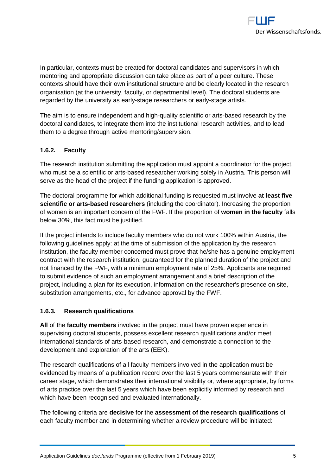

In particular, contexts must be created for doctoral candidates and supervisors in which mentoring and appropriate discussion can take place as part of a peer culture. These contexts should have their own institutional structure and be clearly located in the research organisation (at the university, faculty, or departmental level). The doctoral students are regarded by the university as early-stage researchers or early-stage artists.

The aim is to ensure independent and high-quality scientific or arts-based research by the doctoral candidates, to integrate them into the institutional research activities, and to lead them to a degree through active mentoring/supervision.

# <span id="page-4-0"></span>**1.6.2. Faculty**

The research institution submitting the application must appoint a coordinator for the project, who must be a scientific or arts-based researcher working solely in Austria. This person will serve as the head of the project if the funding application is approved.

The doctoral programme for which additional funding is requested must involve **at least five scientific or arts-based researchers** (including the coordinator). Increasing the proportion of women is an important concern of the FWF. If the proportion of **women in the faculty** falls below 30%, this fact must be justified.

If the project intends to include faculty members who do not work 100% within Austria, the following guidelines apply: at the time of submission of the application by the research institution, the faculty member concerned must prove that he/she has a genuine employment contract with the research institution, guaranteed for the planned duration of the project and not financed by the FWF, with a minimum employment rate of 25%. Applicants are required to submit evidence of such an employment arrangement and a brief description of the project, including a plan for its execution, information on the researcher's presence on site, substitution arrangements, etc., for advance approval by the FWF.

# <span id="page-4-1"></span>**1.6.3. Research qualifications**

**All** of the **faculty members** involved in the project must have proven experience in supervising doctoral students, possess excellent research qualifications and/or meet international standards of arts-based research, and demonstrate a connection to the development and exploration of the arts (EEK).

The research qualifications of all faculty members involved in the application must be evidenced by means of a publication record over the last 5 years commensurate with their career stage, which demonstrates their international visibility or, where appropriate, by forms of arts practice over the last 5 years which have been explicitly informed by research and which have been recognised and evaluated internationally.

The following criteria are **decisive** for the **assessment of the research qualifications** of each faculty member and in determining whether a review procedure will be initiated: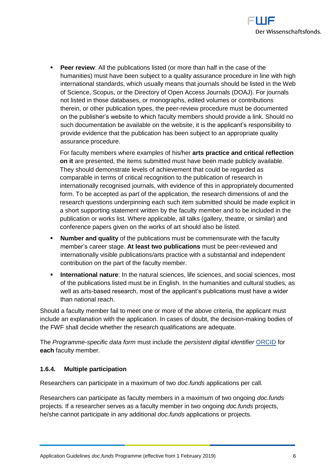

**Peer review:** All the publications listed (or more than half in the case of the humanities) must have been subject to a quality assurance procedure in line with high international standards, which usually means that journals should be listed in the Web of Science, Scopus, or the Directory of Open Access Journals (DOAJ). For journals not listed in those databases, or monographs, edited volumes or contributions therein, or other publication types, the peer-review procedure must be documented on the publisher's website to which faculty members should provide a link. Should no such documentation be available on the website, it is the applicant's responsibility to provide evidence that the publication has been subject to an appropriate quality assurance procedure.

For faculty members where examples of his/her **arts practice and critical reflection on it** are presented, the items submitted must have been made publicly available. They should demonstrate levels of achievement that could be regarded as comparable in terms of critical recognition to the publication of research in internationally recognised journals, with evidence of this in appropriately documented form. To be accepted as part of the application, the research dimensions of and the research questions underpinning each such item submitted should be made explicit in a short supporting statement written by the faculty member and to be included in the publication or works list. Where applicable, all talks (gallery, theatre, or similar) and conference papers given on the works of art should also be listed.

- **Number and quality** of the publications must be commensurate with the faculty member's career stage. **At least two publications** must be peer-reviewed and internationally visible publications/arts practice with a substantial and independent contribution on the part of the faculty member.
- **International nature**: In the natural sciences, life sciences, and social sciences, most of the publications listed must be in English. In the humanities and cultural studies, as well as arts-based research, most of the applicant's publications must have a wider than national reach.

Should a faculty member fail to meet one or more of the above criteria, the applicant must include an explanation with the application. In cases of doubt, the decision-making bodies of the FWF shall decide whether the research qualifications are adequate.

The *Programme-specific data form* must include the *persistent digital identifier* [ORCID](http://orcid.org/) for **each** faculty member.

# <span id="page-5-0"></span>**1.6.4. Multiple participation**

Researchers can participate in a maximum of two *doc.funds* applications per call.

Researchers can participate as faculty members in a maximum of two ongoing *doc.funds* projects. If a researcher serves as a faculty member in two ongoing *doc.funds* projects, he/she cannot participate in any additional *doc.funds* applications or projects.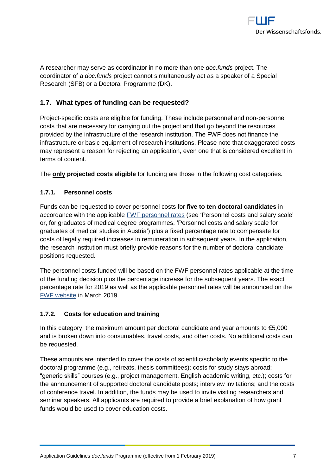

A researcher may serve as coordinator in no more than one *doc.funds* project. The coordinator of a *doc.funds* project cannot simultaneously act as a speaker of a Special Research (SFB) or a Doctoral Programme (DK).

# <span id="page-6-0"></span>**1.7. What types of funding can be requested?**

Project-specific costs are eligible for funding. These include personnel and non-personnel costs that are necessary for carrying out the project and that go beyond the resources provided by the infrastructure of the research institution. The FWF does not finance the infrastructure or basic equipment of research institutions. Please note that exaggerated costs may represent a reason for rejecting an application, even one that is considered excellent in terms of content.

<span id="page-6-1"></span>The **only projected costs eligible** for funding are those in the following cost categories.

# **1.7.1. Personnel costs**

Funds can be requested to cover personnel costs for **five to ten doctoral candidates** in accordance with the applicable [FWF personnel rates](https://www.fwf.ac.at/en/research-funding/personnel-costs/) (see 'Personnel costs and salary scale' or, for graduates of medical degree programmes, 'Personnel costs and salary scale for graduates of medical studies in Austria') plus a fixed percentage rate to compensate for costs of legally required increases in remuneration in subsequent years. In the application, the research institution must briefly provide reasons for the number of doctoral candidate positions requested.

The personnel costs funded will be based on the FWF personnel rates applicable at the time of the funding decision plus the percentage increase for the subsequent years. The exact percentage rate for 2019 as well as the applicable personnel rates will be announced on the [FWF website](https://www.fwf.ac.at/en/research-funding/personnel-costs/) in March 2019.

# <span id="page-6-2"></span>**1.7.2. Costs for education and training**

In this category, the maximum amount per doctoral candidate and year amounts to  $\epsilon$ 5,000 and is broken down into consumables, travel costs, and other costs. No additional costs can be requested.

These amounts are intended to cover the costs of scientific/scholarly events specific to the doctoral programme (e.g., retreats, thesis committees); costs for study stays abroad; "generic skills" courses (e.g., project management, English academic writing, etc.); costs for the announcement of supported doctoral candidate posts; interview invitations; and the costs of conference travel. In addition, the funds may be used to invite visiting researchers and seminar speakers. All applicants are required to provide a brief explanation of how grant funds would be used to cover education costs.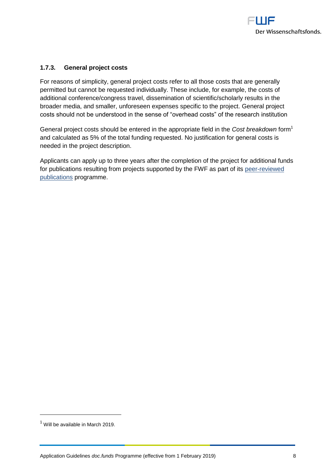

#### <span id="page-7-0"></span>**1.7.3. General project costs**

For reasons of simplicity, general project costs refer to all those costs that are generally permitted but cannot be requested individually. These include, for example, the costs of additional conference/congress travel, dissemination of scientific/scholarly results in the broader media, and smaller, unforeseen expenses specific to the project. General project costs should not be understood in the sense of "overhead costs" of the research institution

General project costs should be entered in the appropriate field in the *Cost breakdown* form<sup>1</sup> and calculated as 5% of the total funding requested. No justification for general costs is needed in the project description.

Applicants can apply up to three years after the completion of the project for additional funds for publications resulting from projects supported by the FWF as part of its [peer-reviewed](https://www.fwf.ac.at/en/research-funding/fwf-programmes/peer-reviewed-publications/)  [publications](https://www.fwf.ac.at/en/research-funding/fwf-programmes/peer-reviewed-publications/) programme.

 $<sup>1</sup>$  Will be available in March 2019.</sup>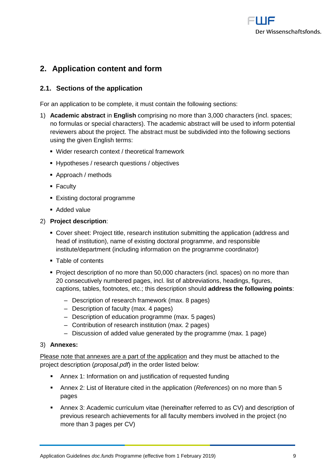

# <span id="page-8-0"></span>**2. Application content and form**

# <span id="page-8-1"></span>**2.1. Sections of the application**

For an application to be complete, it must contain the following sections:

- 1) **Academic abstract** in **English** comprising no more than 3,000 characters (incl. spaces; no formulas or special characters). The academic abstract will be used to inform potential reviewers about the project. The abstract must be subdivided into the following sections using the given English terms:
	- Wider research context / theoretical framework
	- Hypotheses / research questions / objectives
	- Approach / methods
	- **Faculty**
	- **Existing doctoral programme**
	- Added value

#### 2) **Project description**:

- Cover sheet: Project title, research institution submitting the application (address and head of institution), name of existing doctoral programme, and responsible institute/department (including information on the programme coordinator)
- Table of contents
- **Project description of no more than 50,000 characters (incl. spaces) on no more than** 20 consecutively numbered pages, incl. list of abbreviations, headings, figures, captions, tables, footnotes, etc.; this description should **address the following points**:
	- ‒ Description of research framework (max. 8 pages)
	- ‒ Description of faculty (max. 4 pages)
	- ‒ Description of education programme (max. 5 pages)
	- ‒ Contribution of research institution (max. 2 pages)
	- ‒ Discussion of added value generated by the programme (max. 1 page)

#### 3) **Annexes:**

Please note that annexes are a part of the application and they must be attached to the project description (*proposal.pdf*) in the order listed below:

- Annex 1: Information on and justification of requested funding
- Annex 2: List of literature cited in the application (*References*) on no more than 5 pages
- Annex 3: Academic curriculum vitae (hereinafter referred to as CV) and description of previous research achievements for all faculty members involved in the project (no more than 3 pages per CV)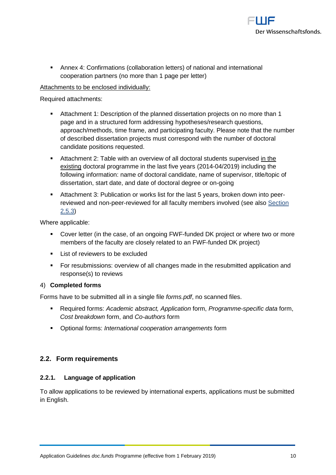

 Annex 4: Confirmations (collaboration letters) of national and international cooperation partners (no more than 1 page per letter)

# Attachments to be enclosed individually:

Required attachments:

- Attachment 1: Description of the planned dissertation projects on no more than 1 page and in a structured form addressing hypotheses/research questions, approach/methods, time frame, and participating faculty. Please note that the number of described dissertation projects must correspond with the number of doctoral candidate positions requested.
- Attachment 2: Table with an overview of all doctoral students supervised in the existing doctoral programme in the last five years (2014-04/2019) including the following information: name of doctoral candidate, name of supervisor, title/topic of dissertation, start date, and date of doctoral degree or on-going
- Attachment 3: Publication or works list for the last 5 years, broken down into peerreviewed and non-peer-reviewed for all faculty members involved (see also [Section](#page-16-4)  [2.5.3\)](#page-16-4)

Where applicable:

- Cover letter (in the case, of an ongoing FWF-funded DK project or where two or more members of the faculty are closely related to an FWF-funded DK project)
- **List of reviewers to be excluded**
- For resubmissions: overview of all changes made in the resubmitted application and response(s) to reviews

#### 4) **Completed forms**

Forms have to be submitted all in a single file *forms.pdf*, no scanned files.

- Required forms: *Academic abstract, Application* form, *Programme-specific data* form, *Cost breakdown* form, and *Co-authors* form
- Optional forms: *International cooperation arrangements* form

# <span id="page-9-1"></span><span id="page-9-0"></span>**2.2. Form requirements**

#### **2.2.1. Language of application**

To allow applications to be reviewed by international experts, applications must be submitted in English.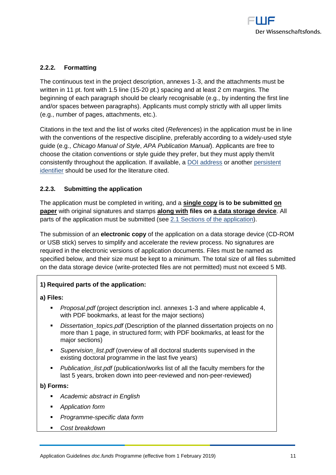

# <span id="page-10-0"></span>**2.2.2. Formatting**

The continuous text in the project description, annexes 1-3, and the attachments must be written in 11 pt. font with 1.5 line (15-20 pt.) spacing and at least 2 cm margins. The beginning of each paragraph should be clearly recognisable (e.g., by indenting the first line and/or spaces between paragraphs). Applicants must comply strictly with all upper limits (e.g., number of pages, attachments, etc.).

Citations in the text and the list of works cited (*References*) in the application must be in line with the conventions of the respective discipline, preferably according to a widely-used style guide (e.g., *Chicago Manual of Style*, *APA Publication Manual*). Applicants are free to choose the citation conventions or style guide they prefer, but they must apply them/it consistently throughout the application. If available, a [DOI address](http://www.doi.org/) or another [persistent](https://en.wikipedia.org/wiki/Persistent_identifier)  [identifier](https://en.wikipedia.org/wiki/Persistent_identifier) should be used for the literature cited.

#### <span id="page-10-1"></span>**2.2.3. Submitting the application**

The application must be completed in writing, and a **single copy is to be submitted on paper** with original signatures and stamps **along with files on a data storage device**. All parts of the application must be submitted (see 2.1 Sections [of the application\)](#page-8-1).

The submission of an **electronic copy** of the application on a data storage device (CD-ROM or USB stick) serves to simplify and accelerate the review process. No signatures are required in the electronic versions of application documents. Files must be named as specified below, and their size must be kept to a minimum. The total size of all files submitted on the data storage device (write-protected files are not permitted) must not exceed 5 MB.

# **1) Required parts of the application:**

**a) Files:**

- *Proposal.pdf* (project description incl. annexes 1-3 and where applicable 4, with PDF bookmarks, at least for the major sections)
- *Dissertation topics.pdf* (Description of the planned dissertation projects on no more than 1 page, in structured form; with PDF bookmarks, at least for the major sections)
- *Supervision\_list.pdf* (overview of all doctoral students supervised in the existing doctoral programme in the last five years)
- *Publication list.pdf* (publication/works list of all the faculty members for the last 5 years, broken down into peer-reviewed and non-peer-reviewed)

#### **b) Forms:**

- *Academic abstract in English*
- *Application form*
- *Programme-specific data form*
- *Cost breakdown*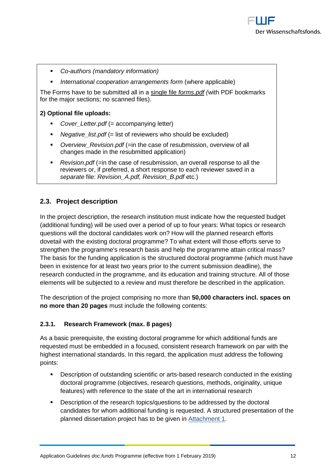- *Co-authors (mandatory information)*
- *International cooperation arrangements form* (where applicable)

The Forms have to be submitted all in a single file *forms.pdf (*with PDF bookmarks for the major sections; no scanned files).

#### **2) Optional file uploads:**

- *Cover\_Letter.pdf* (= accompanying letter)
- *Negative\_list.pdf* (= list of reviewers who should be excluded)
- *Overview\_Revision.pdf* (=in the case of resubmission, overview of all changes made in the resubmitted application)
- *Revision.pdf* (=in the case of resubmission, an overall response to all the reviewers or, if preferred, a short response to *each* reviewer saved in a *separate* file: *Revision\_A.pdf, Revision\_B.pdf* etc.)

# <span id="page-11-0"></span>**2.3. Project description**

In the project description, the research institution must indicate how the requested budget (additional funding) will be used over a period of up to four years: What topics or research questions will the doctoral candidates work on? How will the planned research efforts dovetail with the existing doctoral programme? To what extent will those efforts serve to strengthen the programme's research basis and help the programme attain critical mass? The basis for the funding application is the structured doctoral programme (which must have been in existence for at least two years prior to the current submission deadline), the research conducted in the programme, and its education and training structure. All of those elements will be subjected to a review and must therefore be described in the application.

The description of the project comprising no more than **50,000 characters incl. spaces on no more than 20 pages** must include the following contents:

#### <span id="page-11-1"></span>**2.3.1. Research Framework (max. 8 pages)**

As a basic prerequisite, the existing doctoral programme for which additional funds are requested must be embedded in a focused, consistent research framework on par with the highest international standards. In this regard, the application must address the following points:

- Description of outstanding scientific or arts-based research conducted in the existing doctoral programme (objectives, research questions, methods, originality, unique features) with reference to the state of the art in international research
- **•** Description of the research topics/questions to be addressed by the doctoral candidates for whom additional funding is requested. A structured presentation of the planned dissertation project has to be given in [Attachment 1.](#page-16-2)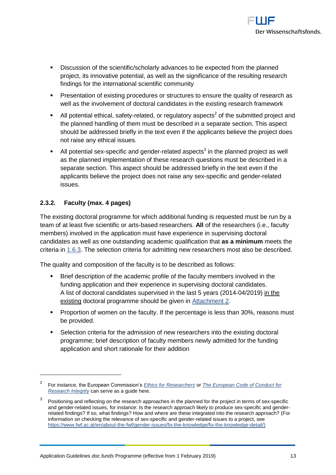

- Discussion of the scientific/scholarly advances to be expected from the planned project, its innovative potential, as well as the significance of the resulting research findings for the international scientific community
- **Presentation of existing procedures or structures to ensure the quality of research as** well as the involvement of doctoral candidates in the existing research framework
- $\blacksquare$  All potential ethical, safety-related, or regulatory aspects<sup>2</sup> of the submitted project and the planned handling of them must be described in a separate section. This aspect should be addressed briefly in the text even if the applicants believe the project does not raise any ethical issues.
- $\blacksquare$  All potential sex-specific and gender-related aspects<sup>3</sup> in the planned project as well as the planned implementation of these research questions must be described in a separate section. This aspect should be addressed briefly in the text even if the applicants believe the project does not raise any sex-specific and gender-related issues.

# <span id="page-12-0"></span>**2.3.2. Faculty (max. 4 pages)**

The existing doctoral programme for which additional funding is requested must be run by a team of at least five scientific or arts-based researchers. **All** of the researchers (i.e., faculty members) involved in the application must have experience in supervising doctoral candidates as well as one outstanding academic qualification that **as a minimum** meets the criteria in [1.6.3.](#page-4-1) The selection criteria for admitting new researchers most also be described.

The quality and composition of the faculty is to be described as follows:

- Brief description of the academic profile of the faculty members involved in the funding application and their experience in supervising doctoral candidates. A list of doctoral candidates supervised in the last 5 years (2014-04/2019) in the existing doctoral programme should be given in [Attachment 2.](#page-16-3)
- **Proportion of women on the faculty. If the percentage is less than 30%, reasons must** be provided.
- Selection criteria for the admission of new researchers into the existing doctoral programme; brief description of faculty members newly admitted for the funding application and short rationale for their addition

<sup>2</sup> For instance, the European Commission's *[Ethics for Researchers](http://ec.europa.eu/research/participants/data/ref/fp7/89888/ethics-for-researchers_en.pdf)* or *[The European Code of Conduct for](https://ec.europa.eu/research/participants/data/ref/h2020/other/hi/h2020-ethics_code-of-conduct_en.pdf)  [Research Integrity](https://ec.europa.eu/research/participants/data/ref/h2020/other/hi/h2020-ethics_code-of-conduct_en.pdf)* can serve as a guide here*.*

<sup>3</sup> Positioning and reflecting on the research approaches in the planned for the project in terms of sex-specific and gender-related issues, for instance: Is the research approach likely to produce sex-specific and genderrelated findings? If so, what findings? How and where are these integrated into the research approach? (For information on checking the relevance of sex-specific and gender-related issues to a project, see [https://www.fwf.ac.at/en/about-the-fwf/gender-issues/fix-the-knowledge/fix-the-knowledge-detail/\)](https://www.fwf.ac.at/en/about-the-fwf/gender-issues/fix-the-knowledge/fix-the-knowledge-detail/)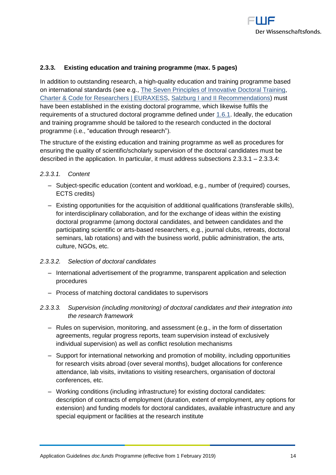

#### <span id="page-13-0"></span>**2.3.3. Existing education and training programme (max. 5 pages)**

In addition to outstanding research, a high-quality education and training programme based on international standards (see e.g., [The Seven Principles of Innovative Doctoral Training,](https://euraxess.ec.europa.eu/belgium/jobs-funding/doctoral-training-principles) [Charter & Code for Researchers | EURAXESS,](https://euraxess.ec.europa.eu/jobs/charter) [Salzburg I and II Recommendations\)](https://eua-cde.org/reports-publications.html) must have been established in the existing doctoral programme, which likewise fulfils the requirements of a structured doctoral programme defined under [1.6.1.](#page-3-2) Ideally, the education and training programme should be tailored to the research conducted in the doctoral programme (i.e., "education through research").

The structure of the existing education and training programme as well as procedures for ensuring the quality of scientific/scholarly supervision of the doctoral candidates must be described in the application. In particular, it must address subsections [2.3.3.1](#page-13-1) – [2.3.3.4:](#page-14-2)

#### <span id="page-13-1"></span>*2.3.3.1. Content*

- Subject-specific education (content and workload, e.g., number of (required) courses, ECTS credits)
- ‒ Existing opportunities for the acquisition of additional qualifications (transferable skills), for interdisciplinary collaboration, and for the exchange of ideas within the existing doctoral programme (among doctoral candidates, and between candidates and the participating scientific or arts-based researchers, e.g., journal clubs, retreats, doctoral seminars, lab rotations) and with the business world, public administration, the arts, culture, NGOs, etc.

#### *2.3.3.2. Selection of doctoral candidates*

- ‒ International advertisement of the programme, transparent application and selection procedures
- ‒ Process of matching doctoral candidates to supervisors
- *2.3.3.3. Supervision (including monitoring) of doctoral candidates and their integration into the research framework* 
	- ‒ Rules on supervision, monitoring, and assessment (e.g., in the form of dissertation agreements, regular progress reports, team supervision instead of exclusively individual supervision) as well as conflict resolution mechanisms
	- Support for international networking and promotion of mobility, including opportunities for research visits abroad (over several months), budget allocations for conference attendance, lab visits, invitations to visiting researchers, organisation of doctoral conferences, etc.
	- ‒ Working conditions (including infrastructure) for existing doctoral candidates: description of contracts of employment (duration, extent of employment, any options for extension) and funding models for doctoral candidates, available infrastructure and any special equipment or facilities at the research institute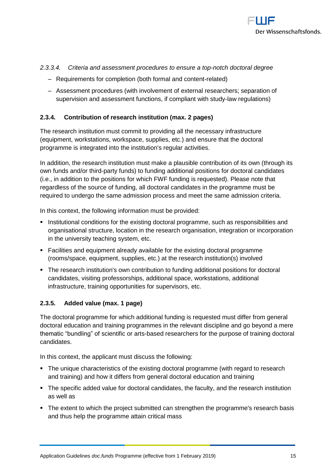

#### <span id="page-14-2"></span>*2.3.3.4. Criteria and assessment procedures to ensure a top-notch doctoral degree*

- ‒ Requirements for completion (both formal and content-related)
- ‒ Assessment procedures (with involvement of external researchers; separation of supervision and assessment functions, if compliant with study-law regulations)

#### <span id="page-14-0"></span>**2.3.4. Contribution of research institution (max. 2 pages)**

The research institution must commit to providing all the necessary infrastructure (equipment, workstations, workspace, supplies, etc.) and ensure that the doctoral programme is integrated into the institution's regular activities.

In addition, the research institution must make a plausible contribution of its own (through its own funds and/or third-party funds) to funding additional positions for doctoral candidates (i.e., in addition to the positions for which FWF funding is requested). Please note that regardless of the source of funding, all doctoral candidates in the programme must be required to undergo the same admission process and meet the same admission criteria.

In this context, the following information must be provided:

- **Institutional conditions for the existing doctoral programme, such as responsibilities and** organisational structure, location in the research organisation, integration or incorporation in the university teaching system, etc.
- Facilities and equipment already available for the existing doctoral programme (rooms/space, equipment, supplies, etc.) at the research institution(s) involved
- The research institution's own contribution to funding additional positions for doctoral candidates, visiting professorships, additional space, workstations, additional infrastructure, training opportunities for supervisors, etc.

#### <span id="page-14-1"></span>**2.3.5. Added value (max. 1 page)**

The doctoral programme for which additional funding is requested must differ from general doctoral education and training programmes in the relevant discipline and go beyond a mere thematic "bundling" of scientific or arts-based researchers for the purpose of training doctoral candidates.

In this context, the applicant must discuss the following:

- The unique characteristics of the existing doctoral programme (with regard to research and training) and how it differs from general doctoral education and training
- The specific added value for doctoral candidates, the faculty, and the research institution as well as
- The extent to which the project submitted can strengthen the programme's research basis and thus help the programme attain critical mass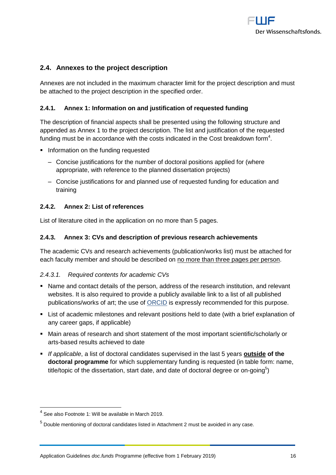

# <span id="page-15-0"></span>**2.4. Annexes to the project description**

Annexes are not included in the maximum character limit for the project description and must be attached to the project description in the specified order.

#### <span id="page-15-1"></span>**2.4.1. Annex 1: Information on and justification of requested funding**

The description of financial aspects shall be presented using the following structure and appended as Annex 1 to the project description. The list and justification of the requested funding must be in accordance with the costs indicated in the Cost breakdown form $^4\!$ .

- **Information on the funding requested** 
	- ‒ Concise justifications for the number of doctoral positions applied for (where appropriate, with reference to the planned dissertation projects)
	- ‒ Concise justifications for and planned use of requested funding for education and training

#### <span id="page-15-2"></span>**2.4.2. Annex 2: List of references**

<span id="page-15-3"></span>List of literature cited in the application on no more than 5 pages.

#### **2.4.3. Annex 3: CVs and description of previous research achievements**

The academic CVs and research achievements (publication/works list) must be attached for each faculty member and should be described on no more than three pages per person.

#### *2.4.3.1. Required contents for academic CVs*

- Name and contact details of the person, address of the research institution, and relevant websites. It is also required to provide a publicly available link to a list of all published publications/works of art; the use of **ORCID** is expressly recommended for this purpose.
- List of academic milestones and relevant positions held to date (with a brief explanation of any career gaps, if applicable)
- Main areas of research and short statement of the most important scientific/scholarly or arts-based results achieved to date
- *If applicable*, a list of doctoral candidates supervised in the last 5 years **outside of the doctoral programme** for which supplementary funding is requested (in table form: name, title/topic of the dissertation, start date, and date of doctoral degree or on-going $5$ )

 $<sup>4</sup>$  See also Footnote 1: Will be available in March 2019.</sup>

 $<sup>5</sup>$  Double mentioning of doctoral candidates listed in Attachment 2 must be avoided in any case.</sup>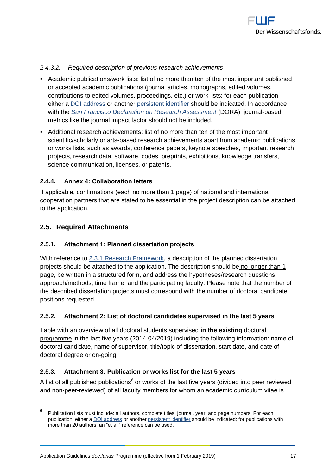

#### *2.4.3.2. Required description of previous research achievements*

- Academic publications/work lists: list of no more than ten of the most important published or accepted academic publications (journal articles, monographs, edited volumes, contributions to edited volumes, proceedings, etc.) or work lists; for each publication, either a [DOI address](http://www.doi.org/) or another [persistent identifier](http://en.wikipedia.org/wiki/Persistent_identifier) should be indicated. In accordance with the *[San Francisco Declaration on Research Assessment](https://sfdora.org/)* (DORA), journal-based metrics like the journal impact factor should not be included.
- Additional research achievements: list of no more than ten of the most important scientific/scholarly or arts-based research achievements apart from academic publications or works lists, such as awards, conference papers, keynote speeches, important research projects, research data, software, codes, preprints, exhibitions, knowledge transfers, science communication, licenses, or patents.

#### <span id="page-16-0"></span>**2.4.4. Annex 4: Collaboration letters**

If applicable, confirmations (each no more than 1 page) of national and international cooperation partners that are stated to be essential in the project description can be attached to the application.

# <span id="page-16-1"></span>**2.5. Required Attachments**

#### <span id="page-16-2"></span>**2.5.1. Attachment 1: Planned dissertation projects**

With reference to [2.3.1 Research Framework,](#page-11-1) a description of the planned dissertation projects should be attached to the application. The description should be no longer than 1 page, be written in a structured form, and address the hypotheses/research questions, approach/methods, time frame, and the participating faculty. Please note that the number of the described dissertation projects must correspond with the number of doctoral candidate positions requested.

#### <span id="page-16-3"></span>**2.5.2. Attachment 2: List of doctoral candidates supervised in the last 5 years**

Table with an overview of all doctoral students supervised **in the existing** doctoral programme in the last five years (2014-04/2019) including the following information: name of doctoral candidate, name of supervisor, title/topic of dissertation, start date, and date of doctoral degree or on-going.

#### <span id="page-16-4"></span>**2.5.3. Attachment 3: Publication or works list for the last 5 years**

A list of all published publications<sup>6</sup> or works of the last five years (divided into peer reviewed and non-peer-reviewed) of all faculty members for whom an academic curriculum vitae is

<sup>—&</sup>lt;br>6 Publication lists must include: all authors, complete titles, journal, year, and page numbers. For each publication, either [a DOI address](http://www.doi.org/) or another [persistent identifier](http://en.wikipedia.org/wiki/Persistent_identifier) should be indicated; for publications with more than 20 authors, an "et al." reference can be used.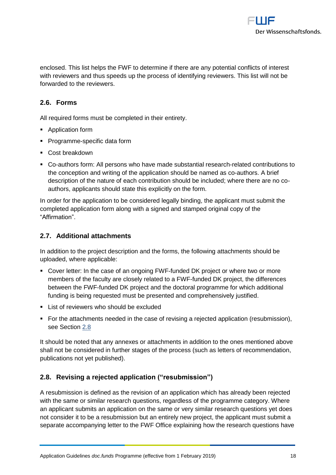

enclosed. This list helps the FWF to determine if there are any potential conflicts of interest with reviewers and thus speeds up the process of identifying reviewers. This list will not be forwarded to the reviewers.

# <span id="page-17-0"></span>**2.6. Forms**

All required forms must be completed in their entirety.

- **Application form**
- Programme-specific data form
- Cost breakdown
- Co-authors form: All persons who have made substantial research-related contributions to the conception and writing of the application should be named as co-authors. A brief description of the nature of each contribution should be included; where there are no coauthors, applicants should state this explicitly on the form.

In order for the application to be considered legally binding, the applicant must submit the completed application form along with a signed and stamped original copy of the "Affirmation".

# <span id="page-17-1"></span>**2.7. Additional attachments**

In addition to the project description and the forms, the following attachments should be uploaded, where applicable:

- Cover letter: In the case of an ongoing FWF-funded DK project or where two or more members of the faculty are closely related to a FWF-funded DK project, the differences between the FWF-funded DK project and the doctoral programme for which additional funding is being requested must be presented and comprehensively justified.
- **List of reviewers who should be excluded**
- For the attachments needed in the case of revising a rejected application (resubmission), see Section [2.8](#page-17-2)

It should be noted that any annexes or attachments in addition to the ones mentioned above shall not be considered in further stages of the process (such as letters of recommendation, publications not yet published).

# <span id="page-17-2"></span>**2.8. Revising a rejected application ("resubmission")**

A resubmission is defined as the revision of an application which has already been rejected with the same or similar research questions, regardless of the programme category. Where an applicant submits an application on the same or very similar research questions yet does not consider it to be a resubmission but an entirely new project, the applicant must submit a separate accompanying letter to the FWF Office explaining how the research questions have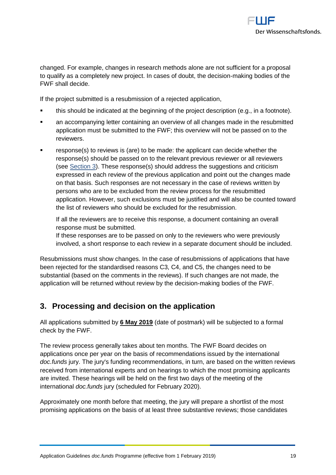

changed. For example, changes in research methods alone are not sufficient for a proposal to qualify as a completely new project. In cases of doubt, the decision-making bodies of the FWF shall decide.

If the project submitted is a resubmission of a rejected application,

- this should be indicated at the beginning of the project description (e.g., in a footnote).
- an accompanying letter containing an overview of all changes made in the resubmitted application must be submitted to the FWF; this overview will not be passed on to the reviewers.
- response(s) to reviews is (are) to be made: the applicant can decide whether the response(s) should be passed on to the relevant previous reviewer or all reviewers (see [Section 3\)](#page-18-0). These response(s) should address the suggestions and criticism expressed in each review of the previous application and point out the changes made on that basis. Such responses are not necessary in the case of reviews written by persons who are to be excluded from the review process for the resubmitted application. However, such exclusions must be justified and will also be counted toward the list of reviewers who should be excluded for the resubmission.

If all the reviewers are to receive this response, a document containing an overall response must be submitted.

If these responses are to be passed on only to the reviewers who were previously involved, a short response to each review in a separate document should be included.

Resubmissions must show changes. In the case of resubmissions of applications that have been rejected for the standardised reasons C3, C4, and C5, the changes need to be substantial (based on the comments in the reviews). If such changes are not made, the application will be returned without review by the decision-making bodies of the FWF.

# <span id="page-18-0"></span>**3. Processing and decision on the application**

All applications submitted by **6 May 2019** (date of postmark) will be subjected to a formal check by the FWF.

The review process generally takes about ten months. The FWF Board decides on applications once per year on the basis of recommendations issued by the international *doc.funds* jury. The jury's funding recommendations, in turn, are based on the written reviews received from international experts and on hearings to which the most promising applicants are invited. These hearings will be held on the first two days of the meeting of the international *doc.funds* jury (scheduled for February 2020).

Approximately one month before that meeting, the jury will prepare a shortlist of the most promising applications on the basis of at least three substantive reviews; those candidates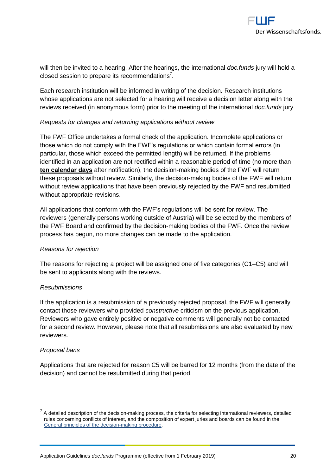

will then be invited to a hearing. After the hearings, the international *doc.funds* jury will hold a closed session to prepare its recommendations<sup>7</sup>.

Each research institution will be informed in writing of the decision. Research institutions whose applications are not selected for a hearing will receive a decision letter along with the reviews received (in anonymous form) prior to the meeting of the international *doc.funds* jury

#### *Requests for changes and returning applications without review*

The FWF Office undertakes a formal check of the application. Incomplete applications or those which do not comply with the FWF's regulations or which contain formal errors (in particular, those which exceed the permitted length) will be returned. If the problems identified in an application are not rectified within a reasonable period of time (no more than **ten calendar days** after notification), the decision-making bodies of the FWF will return these proposals without review. Similarly, the decision-making bodies of the FWF will return without review applications that have been previously rejected by the FWF and resubmitted without appropriate revisions.

All applications that conform with the FWF's regulations will be sent for review. The reviewers (generally persons working outside of Austria) will be selected by the members of the FWF Board and confirmed by the decision-making bodies of the FWF. Once the review process has begun, no more changes can be made to the application.

#### *Reasons for rejection*

The reasons for rejecting a project will be assigned one of five categories (C1–C5) and will be sent to applicants along with the reviews.

#### *Resubmissions*

If the application is a resubmission of a previously rejected proposal, the FWF will generally contact those reviewers who provided *constructive* criticism on the previous application. Reviewers who gave entirely positive or negative comments will generally not be contacted for a second review. However, please note that all resubmissions are also evaluated by new reviewers.

#### *Proposal bans*

 $\overline{a}$ 

Applications that are rejected for reason C5 will be barred for 12 months (from the date of the decision) and cannot be resubmitted during that period.

 $<sup>7</sup>$  A detailed description of the decision-making process, the criteria for selecting international reviewers, detailed</sup> rules concerning conflicts of interest, and the composition of expert juries and boards can be found in the [General principles of the decision-making procedure.](https://www.fwf.ac.at/en/research-funding/decision-making-procedure/decision-making-procedure/)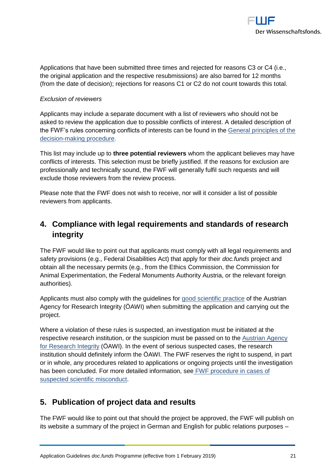

Applications that have been submitted three times and rejected for reasons C3 or C4 (i.e., the original application and the respective resubmissions) are also barred for 12 months (from the date of decision); rejections for reasons C1 or C2 do not count towards this total.

#### *Exclusion of reviewers*

Applicants may include a separate document with a list of reviewers who should not be asked to review the application due to possible conflicts of interest. A detailed description of the FWF's rules concerning conflicts of interests can be found in the [General principles of the](https://www.fwf.ac.at/en/research-funding/decision-making-procedure/decision-making-procedure/)  [decision-making procedure.](https://www.fwf.ac.at/en/research-funding/decision-making-procedure/decision-making-procedure/)

This list may include up to **three potential reviewers** whom the applicant believes may have conflicts of interests. This selection must be briefly justified. If the reasons for exclusion are professionally and technically sound, the FWF will generally fulfil such requests and will exclude those reviewers from the review process.

Please note that the FWF does not wish to receive, nor will it consider a list of possible reviewers from applicants.

# <span id="page-20-0"></span>**4. Compliance with legal requirements and standards of research integrity**

The FWF would like to point out that applicants must comply with all legal requirements and safety provisions (e.g., Federal Disabilities Act) that apply for their *doc.funds* project and obtain all the necessary permits (e.g., from the Ethics Commission, the Commission for Animal Experimentation, the Federal Monuments Authority Austria, or the relevant foreign authorities).

Applicants must also comply with the guidelines for [good scientific practice](https://oeawi.at/guidelines/?lang=en) of the Austrian Agency for Research Integrity (ÖAWI) when submitting the application and carrying out the project.

Where a violation of these rules is suspected, an investigation must be initiated at the respective research institution, or the suspicion must be passed on to the [Austrian Agency](https://oeawi.at/?lang=en)  [for Research Integrity](https://oeawi.at/?lang=en) (ÖAWI). In the event of serious suspected cases, the research institution should definitely inform the ÖAWI. The FWF reserves the right to suspend, in part or in whole, any procedures related to applications or ongoing projects until the investigation has been concluded. For more detailed information, see [FWF procedure in cases of](https://www.fwf.ac.at/fileadmin/files/Dokumente/Research_Integrity_Ethics/FWF_Verfahren_Research_Misconduct-en.pdf)  [suspected scientific misconduct.](https://www.fwf.ac.at/fileadmin/files/Dokumente/Research_Integrity_Ethics/FWF_Verfahren_Research_Misconduct-en.pdf)

# <span id="page-20-1"></span>**5. Publication of project data and results**

The FWF would like to point out that should the project be approved, the FWF will publish on its website a summary of the project in German and English for public relations purposes –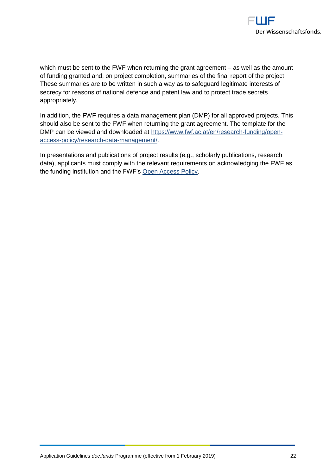

which must be sent to the FWF when returning the grant agreement – as well as the amount of funding granted and, on project completion, summaries of the final report of the project. These summaries are to be written in such a way as to safeguard legitimate interests of secrecy for reasons of national defence and patent law and to protect trade secrets appropriately.

In addition, the FWF requires a data management plan (DMP) for all approved projects. This should also be sent to the FWF when returning the grant agreement. The template for the DMP can be viewed and downloaded at [https://www.fwf.ac.at/en/research-funding/open](https://www.fwf.ac.at/en/research-funding/open-access-policy/research-data-management/)[access-policy/research-data-management/.](https://www.fwf.ac.at/en/research-funding/open-access-policy/research-data-management/)

In presentations and publications of project results (e.g., scholarly publications, research data), applicants must comply with the relevant requirements on acknowledging the FWF as the funding institution and the FWF's [Open Access Policy.](https://www.fwf.ac.at/en/research-funding/open-access-policy/)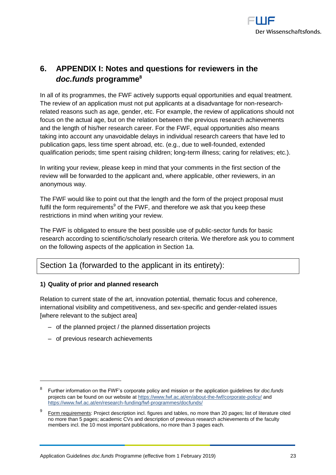

# <span id="page-22-0"></span>**6. APPENDIX I: Notes and questions for reviewers in the**  *doc.funds* **programme<sup>8</sup>**

In all of its programmes, the FWF actively supports equal opportunities and equal treatment. The review of an application must not put applicants at a disadvantage for non-researchrelated reasons such as age, gender, etc. For example, the review of applications should not focus on the actual age, but on the relation between the previous research achievements and the length of his/her research career. For the FWF, equal opportunities also means taking into account any unavoidable delays in individual research careers that have led to publication gaps, less time spent abroad, etc. (e.g., due to well-founded, extended qualification periods; time spent raising children; long-term illness; caring for relatives; etc.).

In writing your review, please keep in mind that your comments in the first section of the review will be forwarded to the applicant and, where applicable, other reviewers, in an anonymous way.

The FWF would like to point out that the length and the form of the project proposal must fulfil the form requirements<sup>9</sup> of the FWF, and therefore we ask that you keep these restrictions in mind when writing your review.

The FWF is obligated to ensure the best possible use of public-sector funds for basic research according to scientific/scholarly research criteria. We therefore ask you to comment on the following aspects of the application in Section 1a.

# Section 1a (forwarded to the applicant in its entirety):

#### **1) Quality of prior and planned research**

Relation to current state of the art, innovation potential, thematic focus and coherence, international visibility and competitiveness, and sex-specific and gender-related issues [where relevant to the subject area]

- of the planned project / the planned dissertation projects
- ‒ of previous research achievements

 $\overline{a}$ 

<sup>8</sup> Further information on the FWF's corporate policy and mission or the application guidelines for *doc.funds* projects can be found on our website a[t https://www.fwf.ac.at/en/about-the-fwf/corporate-policy/](https://www.fwf.ac.at/en/about-the-fwf/corporate-policy/) and https://www.fwf.ac.at/en/research-funding/fwf-programmes/docfunds/

<sup>9</sup> Form requirements: Project description incl. figures and tables, no more than 20 pages; list of literature cited no more than 5 pages; academic CVs and description of previous research achievements of the faculty members incl. the 10 most important publications, no more than 3 pages each.